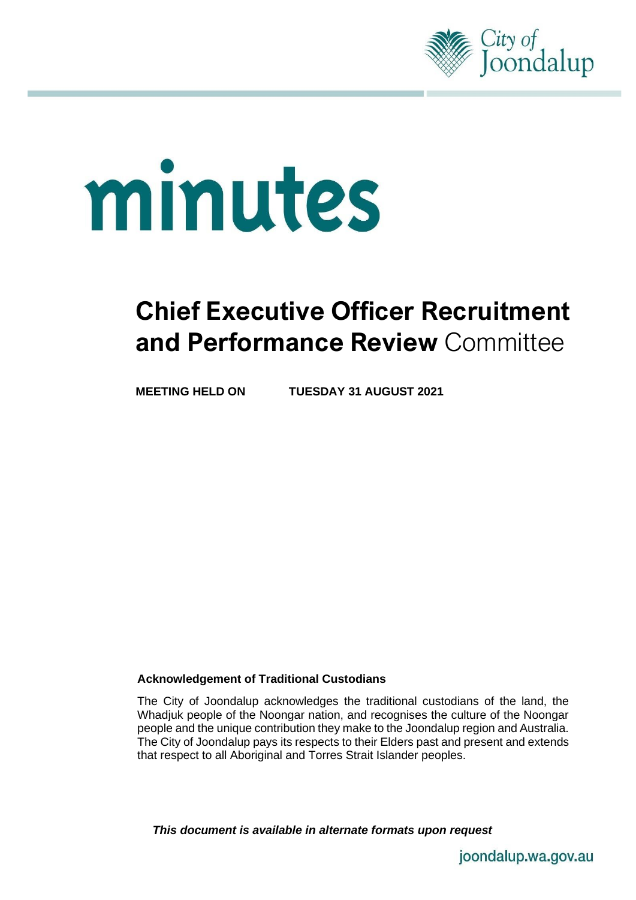

# minutes

# **Chief Executive Officer Recruitment and Performance Review** Committee

**MEETING HELD ON TUESDAY 31 AUGUST 2021**

#### **Acknowledgement of Traditional Custodians**

The City of Joondalup acknowledges the traditional custodians of the land, the Whadjuk people of the Noongar nation, and recognises the culture of the Noongar people and the unique contribution they make to the Joondalup region and Australia. The City of Joondalup pays its respects to their Elders past and present and extends that respect to all Aboriginal and Torres Strait Islander peoples.

*This document is available in alternate formats upon request*

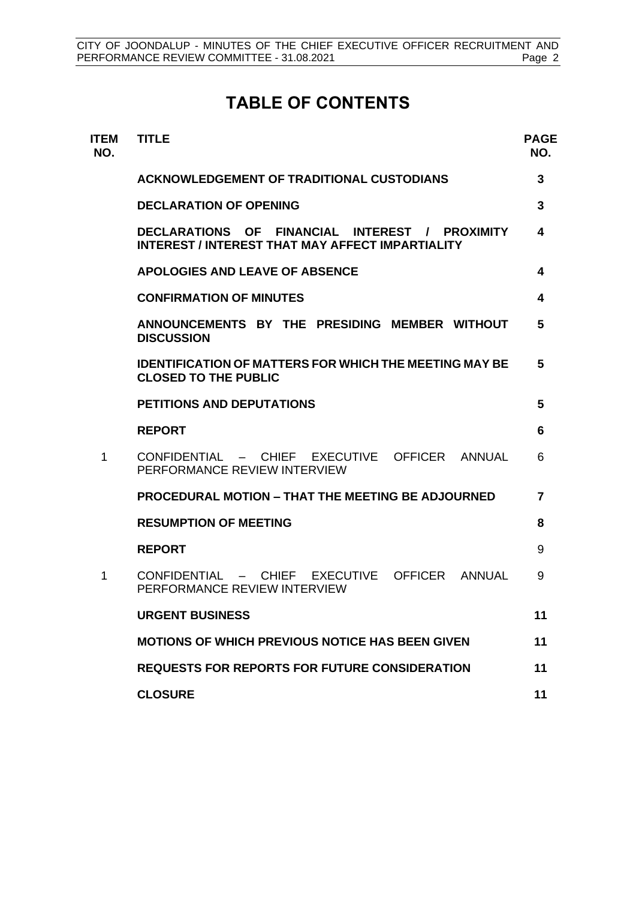# **TABLE OF CONTENTS**

| <b>ITEM</b><br>NO. | <b>TITLE</b>                                                                                                                            | <b>PAGE</b><br>NO. |
|--------------------|-----------------------------------------------------------------------------------------------------------------------------------------|--------------------|
|                    | <b>ACKNOWLEDGEMENT OF TRADITIONAL CUSTODIANS</b>                                                                                        | 3                  |
|                    | <b>DECLARATION OF OPENING</b>                                                                                                           | 3                  |
|                    | <b>OF</b><br>FINANCIAL INTEREST /<br><b>DECLARATIONS</b><br><b>PROXIMITY</b><br><b>INTEREST / INTEREST THAT MAY AFFECT IMPARTIALITY</b> | 4                  |
|                    | <b>APOLOGIES AND LEAVE OF ABSENCE</b>                                                                                                   | 4                  |
|                    | <b>CONFIRMATION OF MINUTES</b>                                                                                                          | 4                  |
|                    | ANNOUNCEMENTS BY THE PRESIDING MEMBER WITHOUT<br><b>DISCUSSION</b>                                                                      | 5                  |
|                    | <b>IDENTIFICATION OF MATTERS FOR WHICH THE MEETING MAY BE</b><br><b>CLOSED TO THE PUBLIC</b>                                            | 5                  |
|                    | <b>PETITIONS AND DEPUTATIONS</b>                                                                                                        | 5                  |
|                    | <b>REPORT</b>                                                                                                                           | 6                  |
| 1                  | CONFIDENTIAL - CHIEF EXECUTIVE<br>OFFICER ANNUAL<br>PERFORMANCE REVIEW INTERVIEW                                                        | 6                  |
|                    | PROCEDURAL MOTION - THAT THE MEETING BE ADJOURNED                                                                                       | $\overline{7}$     |
|                    | <b>RESUMPTION OF MEETING</b>                                                                                                            | 8                  |
|                    | <b>REPORT</b>                                                                                                                           | 9                  |
| 1                  | CHIEF EXECUTIVE<br>OFFICER<br>$COMFIDFNTIAI =$<br>ANNUAL<br>PERFORMANCE REVIEW INTERVIEW                                                | 9                  |
|                    | <b>URGENT BUSINESS</b>                                                                                                                  | 11                 |
|                    | <b>MOTIONS OF WHICH PREVIOUS NOTICE HAS BEEN GIVEN</b>                                                                                  | 11                 |
|                    | <b>REQUESTS FOR REPORTS FOR FUTURE CONSIDERATION</b>                                                                                    | 11                 |
|                    | <b>CLOSURE</b>                                                                                                                          | 11                 |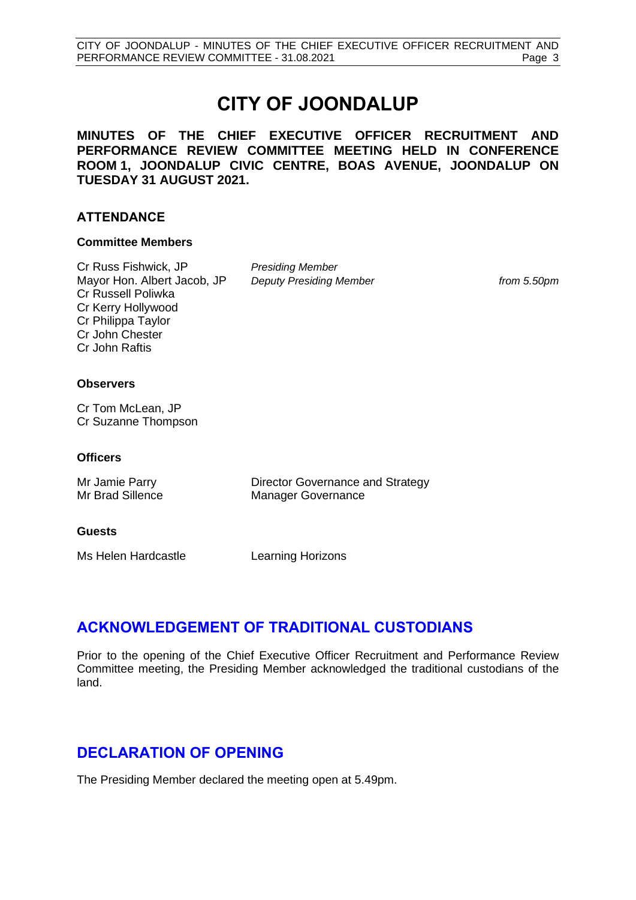# **CITY OF JOONDALUP**

**MINUTES OF THE CHIEF EXECUTIVE OFFICER RECRUITMENT AND PERFORMANCE REVIEW COMMITTEE MEETING HELD IN CONFERENCE ROOM 1, JOONDALUP CIVIC CENTRE, BOAS AVENUE, JOONDALUP ON TUESDAY 31 AUGUST 2021.**

#### **ATTENDANCE**

#### **Committee Members**

Cr Russ Fishwick, JP *Presiding Member* Mayor Hon. Albert Jacob, JP *Deputy Presiding Member from 5.50pm* Cr Russell Poliwka Cr Kerry Hollywood Cr Philippa Taylor Cr John Chester Cr John Raftis

#### **Observers**

Cr Tom McLean, JP Cr Suzanne Thompson

#### **Officers**

| Mr Jamie Parry   | Director Governance and Strategy |
|------------------|----------------------------------|
| Mr Brad Sillence | <b>Manager Governance</b>        |

#### **Guests**

Ms Helen Hardcastle **Learning Horizons** 

## <span id="page-2-0"></span>**ACKNOWLEDGEMENT OF TRADITIONAL CUSTODIANS**

Prior to the opening of the Chief Executive Officer Recruitment and Performance Review Committee meeting, the Presiding Member acknowledged the traditional custodians of the land.

## <span id="page-2-1"></span>**DECLARATION OF OPENING**

The Presiding Member declared the meeting open at 5.49pm.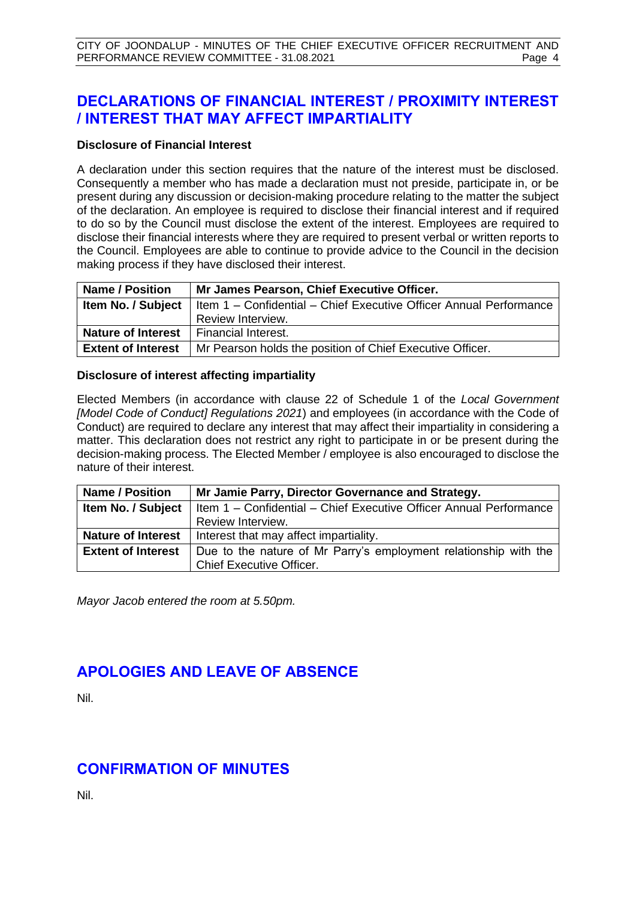# <span id="page-3-0"></span>**DECLARATIONS OF FINANCIAL INTEREST / PROXIMITY INTEREST / INTEREST THAT MAY AFFECT IMPARTIALITY**

#### **Disclosure of Financial Interest**

A declaration under this section requires that the nature of the interest must be disclosed. Consequently a member who has made a declaration must not preside, participate in, or be present during any discussion or decision-making procedure relating to the matter the subject of the declaration. An employee is required to disclose their financial interest and if required to do so by the Council must disclose the extent of the interest. Employees are required to disclose their financial interests where they are required to present verbal or written reports to the Council. Employees are able to continue to provide advice to the Council in the decision making process if they have disclosed their interest.

| <b>Name / Position</b>    | Mr James Pearson, Chief Executive Officer.                                                         |
|---------------------------|----------------------------------------------------------------------------------------------------|
|                           | <b>Item No. / Subject</b>   Item $1 -$ Confidential $-$ Chief Executive Officer Annual Performance |
|                           | Review Interview.                                                                                  |
| <b>Nature of Interest</b> | Financial Interest.                                                                                |
| <b>Extent of Interest</b> | Mr Pearson holds the position of Chief Executive Officer.                                          |

#### **Disclosure of interest affecting impartiality**

Elected Members (in accordance with clause 22 of Schedule 1 of the *Local Government [Model Code of Conduct] Regulations 2021*) and employees (in accordance with the Code of Conduct) are required to declare any interest that may affect their impartiality in considering a matter. This declaration does not restrict any right to participate in or be present during the decision-making process. The Elected Member / employee is also encouraged to disclose the nature of their interest.

| <b>Name / Position</b>    | Mr Jamie Parry, Director Governance and Strategy.                                                  |  |
|---------------------------|----------------------------------------------------------------------------------------------------|--|
|                           | <b>Item No. / Subject</b>   Item $1 -$ Confidential $-$ Chief Executive Officer Annual Performance |  |
|                           | Review Interview.                                                                                  |  |
|                           | <b>Nature of Interest</b>   Interest that may affect impartiality.                                 |  |
| <b>Extent of Interest</b> | Due to the nature of Mr Parry's employment relationship with the                                   |  |
|                           | <b>Chief Executive Officer.</b>                                                                    |  |

*Mayor Jacob entered the room at 5.50pm.*

# <span id="page-3-1"></span>**APOLOGIES AND LEAVE OF ABSENCE**

Nil.

# <span id="page-3-2"></span>**CONFIRMATION OF MINUTES**

<span id="page-3-3"></span>Nil.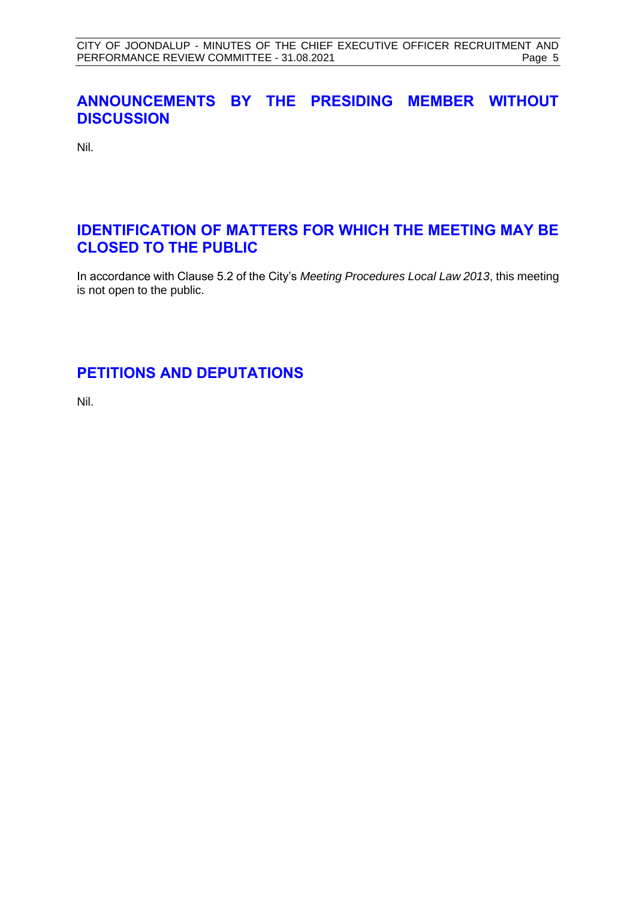# **ANNOUNCEMENTS BY THE PRESIDING MEMBER WITHOUT DISCUSSION**

Nil.

## <span id="page-4-0"></span>**IDENTIFICATION OF MATTERS FOR WHICH THE MEETING MAY BE CLOSED TO THE PUBLIC**

In accordance with Clause 5.2 of the City's *Meeting Procedures Local Law 2013*, this meeting is not open to the public.

# <span id="page-4-1"></span>**PETITIONS AND DEPUTATIONS**

Nil.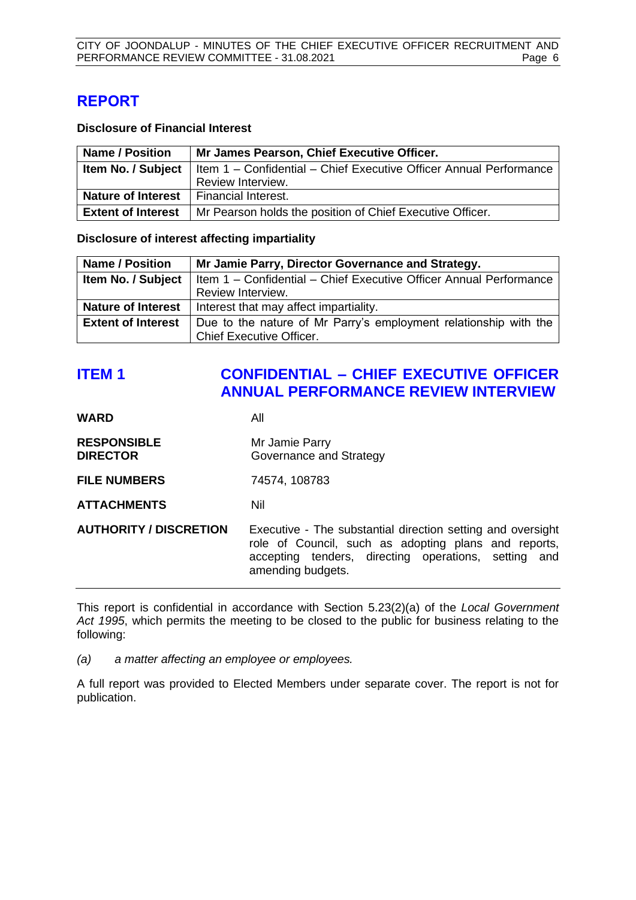# <span id="page-5-0"></span>**REPORT**

#### **Disclosure of Financial Interest**

| <b>Name / Position</b>    | Mr James Pearson, Chief Executive Officer.                         |
|---------------------------|--------------------------------------------------------------------|
| Item No. / Subject        | Item 1 - Confidential - Chief Executive Officer Annual Performance |
|                           | Review Interview.                                                  |
| <b>Nature of Interest</b> | Financial Interest.                                                |
| <b>Extent of Interest</b> | Mr Pearson holds the position of Chief Executive Officer.          |

**Disclosure of interest affecting impartiality**

| <b>Name / Position</b>    | Mr Jamie Parry, Director Governance and Strategy.                                                  |  |
|---------------------------|----------------------------------------------------------------------------------------------------|--|
|                           | <b>Item No. / Subject</b>   Item $1 -$ Confidential $-$ Chief Executive Officer Annual Performance |  |
|                           | Review Interview.                                                                                  |  |
| <b>Nature of Interest</b> | Interest that may affect impartiality.                                                             |  |
| <b>Extent of Interest</b> | Due to the nature of Mr Parry's employment relationship with the                                   |  |
|                           | <b>Chief Executive Officer.</b>                                                                    |  |

# <span id="page-5-1"></span>**ITEM 1 CONFIDENTIAL – CHIEF EXECUTIVE OFFICER ANNUAL PERFORMANCE REVIEW INTERVIEW**

| <b>WARD</b>                           | All                                                                                                                                                                                              |
|---------------------------------------|--------------------------------------------------------------------------------------------------------------------------------------------------------------------------------------------------|
| <b>RESPONSIBLE</b><br><b>DIRECTOR</b> | Mr Jamie Parry<br>Governance and Strategy                                                                                                                                                        |
| <b>FILE NUMBERS</b>                   | 74574, 108783                                                                                                                                                                                    |
| <b>ATTACHMENTS</b>                    | Nil                                                                                                                                                                                              |
| <b>AUTHORITY / DISCRETION</b>         | Executive - The substantial direction setting and oversight<br>role of Council, such as adopting plans and reports,<br>accepting tenders, directing operations, setting and<br>amending budgets. |

This report is confidential in accordance with Section 5.23(2)(a) of the *Local Government Act 1995*, which permits the meeting to be closed to the public for business relating to the following:

*(a) a matter affecting an employee or employees.*

A full report was provided to Elected Members under separate cover. The report is not for publication.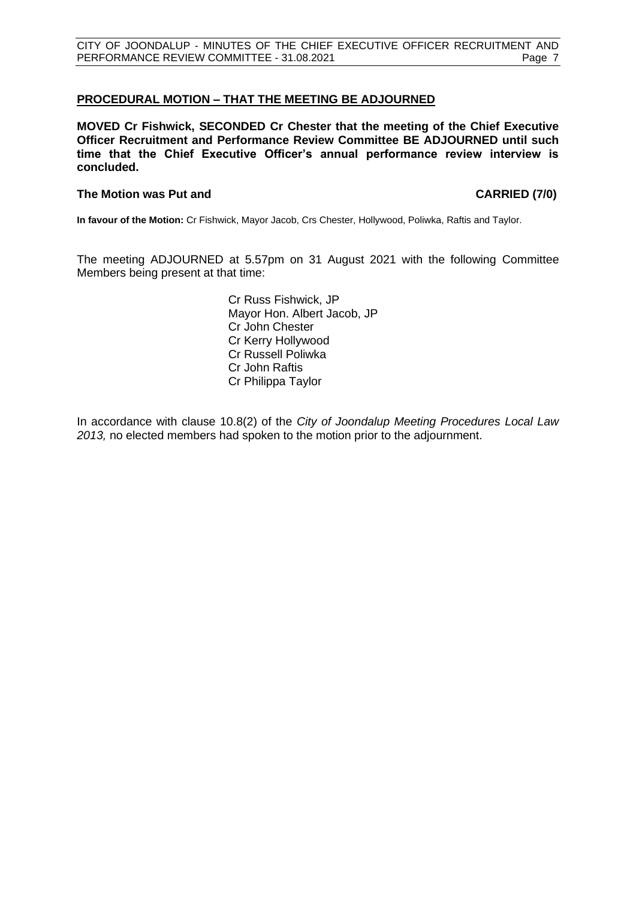#### <span id="page-6-0"></span>**PROCEDURAL MOTION – THAT THE MEETING BE ADJOURNED**

**MOVED Cr Fishwick, SECONDED Cr Chester that the meeting of the Chief Executive Officer Recruitment and Performance Review Committee BE ADJOURNED until such time that the Chief Executive Officer's annual performance review interview is concluded.**

#### **The Motion was Put and CARRIED (7/0)**

**In favour of the Motion:** Cr Fishwick, Mayor Jacob, Crs Chester, Hollywood, Poliwka, Raftis and Taylor.

The meeting ADJOURNED at 5.57pm on 31 August 2021 with the following Committee Members being present at that time:

> Cr Russ Fishwick, JP Mayor Hon. Albert Jacob, JP Cr John Chester Cr Kerry Hollywood Cr Russell Poliwka Cr John Raftis Cr Philippa Taylor

In accordance with clause 10.8(2) of the *City of Joondalup Meeting Procedures Local Law 2013,* no elected members had spoken to the motion prior to the adjournment.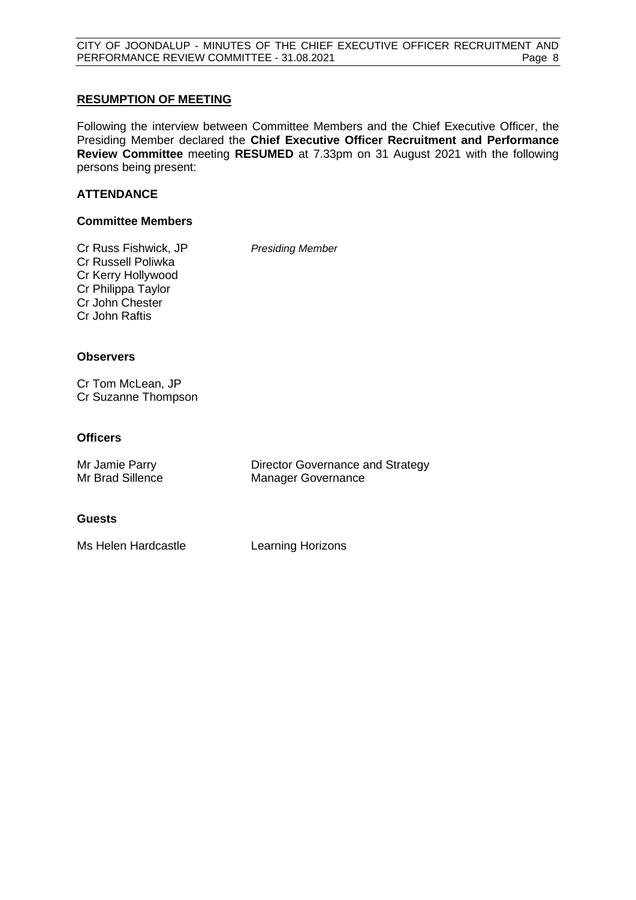CITY OF JOONDALUP - MINUTES OF THE CHIEF EXECUTIVE OFFICER RECRUITMENT AND PERFORMANCE REVIEW COMMITTEE - 31.08.2021 Page 8

#### <span id="page-7-0"></span>**RESUMPTION OF MEETING**

Following the interview between Committee Members and the Chief Executive Officer, the Presiding Member declared the **Chief Executive Officer Recruitment and Performance Review Committee** meeting **RESUMED** at 7.33pm on 31 August 2021 with the following persons being present:

#### **ATTENDANCE**

#### **Committee Members**

Cr Russ Fishwick, JP *Presiding Member* Cr Russell Poliwka Cr Kerry Hollywood Cr Philippa Taylor Cr John Chester Cr John Raftis

#### **Observers**

Cr Tom McLean, JP Cr Suzanne Thompson

#### **Officers**

| Mr Jamie Parry   | Director Governance and Strategy |
|------------------|----------------------------------|
| Mr Brad Sillence | <b>Manager Governance</b>        |

#### **Guests**

Ms Helen Hardcastle **Learning Horizons**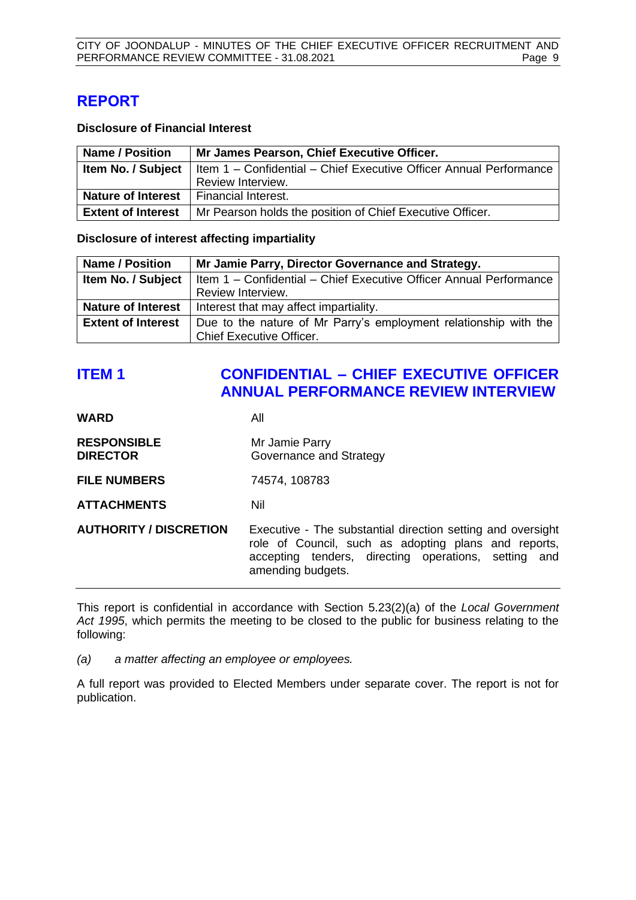# <span id="page-8-0"></span>**REPORT**

#### **Disclosure of Financial Interest**

| <b>Name / Position</b>    | Mr James Pearson, Chief Executive Officer.                         |
|---------------------------|--------------------------------------------------------------------|
| Item No. / Subject        | Item 1 - Confidential - Chief Executive Officer Annual Performance |
|                           | Review Interview.                                                  |
| <b>Nature of Interest</b> | I Financial Interest.                                              |
| <b>Extent of Interest</b> | Mr Pearson holds the position of Chief Executive Officer.          |

**Disclosure of interest affecting impartiality**

| <b>Name / Position</b>    | Mr Jamie Parry, Director Governance and Strategy.                                                  |  |
|---------------------------|----------------------------------------------------------------------------------------------------|--|
|                           | <b>Item No. / Subject</b>   Item $1 -$ Confidential $-$ Chief Executive Officer Annual Performance |  |
|                           | Review Interview.                                                                                  |  |
| <b>Nature of Interest</b> | Interest that may affect impartiality.                                                             |  |
| <b>Extent of Interest</b> | Due to the nature of Mr Parry's employment relationship with the                                   |  |
|                           | <b>Chief Executive Officer.</b>                                                                    |  |

# <span id="page-8-1"></span>**ITEM 1 CONFIDENTIAL – CHIEF EXECUTIVE OFFICER ANNUAL PERFORMANCE REVIEW INTERVIEW**

| <b>WARD</b>                           | All                                                                                                                                                                                              |
|---------------------------------------|--------------------------------------------------------------------------------------------------------------------------------------------------------------------------------------------------|
| <b>RESPONSIBLE</b><br><b>DIRECTOR</b> | Mr Jamie Parry<br>Governance and Strategy                                                                                                                                                        |
| <b>FILE NUMBERS</b>                   | 74574, 108783                                                                                                                                                                                    |
| <b>ATTACHMENTS</b>                    | Nil                                                                                                                                                                                              |
| <b>AUTHORITY / DISCRETION</b>         | Executive - The substantial direction setting and oversight<br>role of Council, such as adopting plans and reports,<br>accepting tenders, directing operations, setting and<br>amending budgets. |

This report is confidential in accordance with Section 5.23(2)(a) of the *Local Government Act 1995*, which permits the meeting to be closed to the public for business relating to the following:

*(a) a matter affecting an employee or employees.*

A full report was provided to Elected Members under separate cover. The report is not for publication.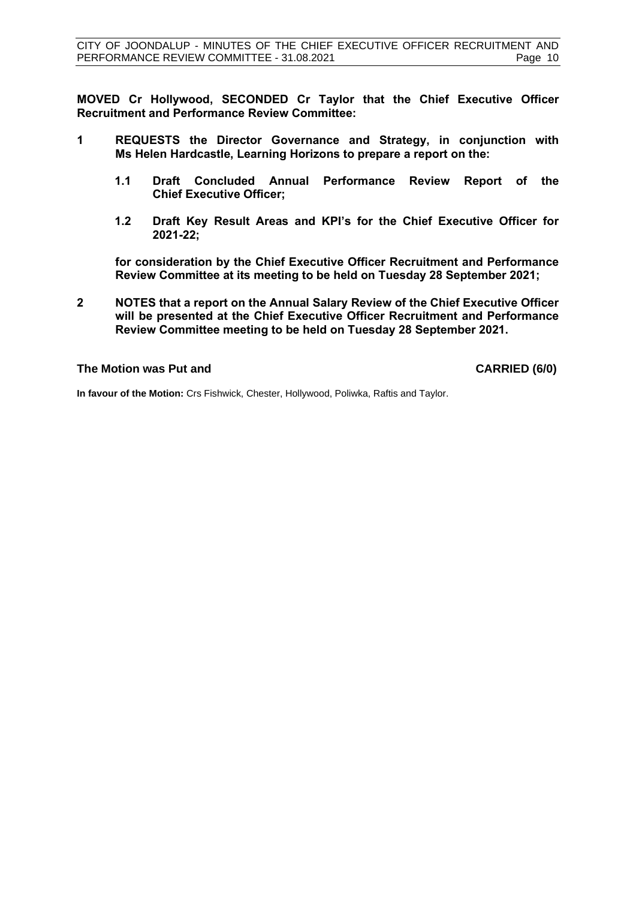**MOVED Cr Hollywood, SECONDED Cr Taylor that the Chief Executive Officer Recruitment and Performance Review Committee:**

- **1 REQUESTS the Director Governance and Strategy, in conjunction with Ms Helen Hardcastle, Learning Horizons to prepare a report on the:**
	- **1.1 Draft Concluded Annual Performance Review Report of the Chief Executive Officer;**
	- **1.2 Draft Key Result Areas and KPI's for the Chief Executive Officer for 2021-22;**

**for consideration by the Chief Executive Officer Recruitment and Performance Review Committee at its meeting to be held on Tuesday 28 September 2021;**

**2 NOTES that a report on the Annual Salary Review of the Chief Executive Officer will be presented at the Chief Executive Officer Recruitment and Performance Review Committee meeting to be held on Tuesday 28 September 2021.**

#### **The Motion was Put and CARRIED (6/0)**

**In favour of the Motion:** Crs Fishwick, Chester, Hollywood, Poliwka, Raftis and Taylor.